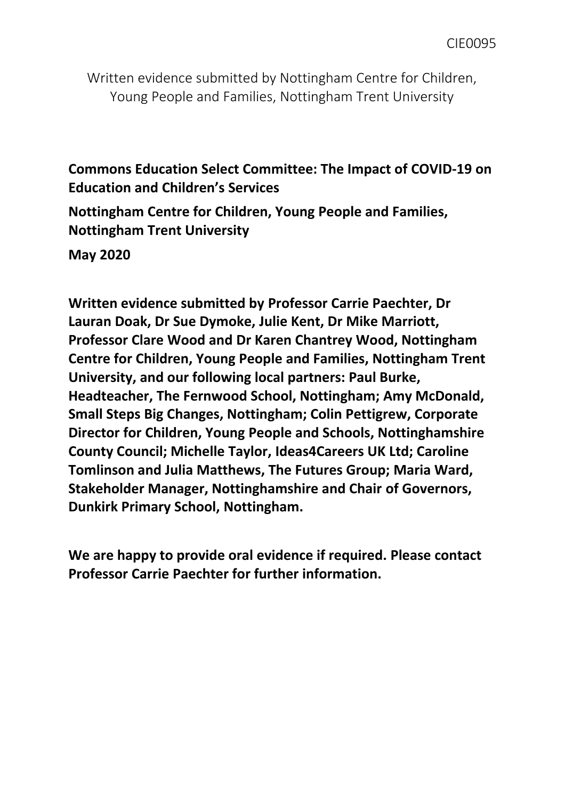Written evidence submitted by Nottingham Centre for Children, Young People and Families, Nottingham Trent University

**Commons Education Select Committee: The Impact of COVID-19 on Education and Children's Services**

**Nottingham Centre for Children, Young People and Families, Nottingham Trent University**

**May 2020**

**Written evidence submitted by Professor Carrie Paechter, Dr Lauran Doak, Dr Sue Dymoke, Julie Kent, Dr Mike Marriott, Professor Clare Wood and Dr Karen Chantrey Wood, Nottingham Centre for Children, Young People and Families, Nottingham Trent University, and our following local partners: Paul Burke, Headteacher, The Fernwood School, Nottingham; Amy McDonald, Small Steps Big Changes, Nottingham; Colin Pettigrew, Corporate Director for Children, Young People and Schools, Nottinghamshire County Council; Michelle Taylor, Ideas4Careers UK Ltd; Caroline Tomlinson and Julia Matthews, The Futures Group; Maria Ward, Stakeholder Manager, Nottinghamshire and Chair of Governors, Dunkirk Primary School, Nottingham.**

**We are happy to provide oral evidence if required. Please contact Professor Carrie Paechter for further information.**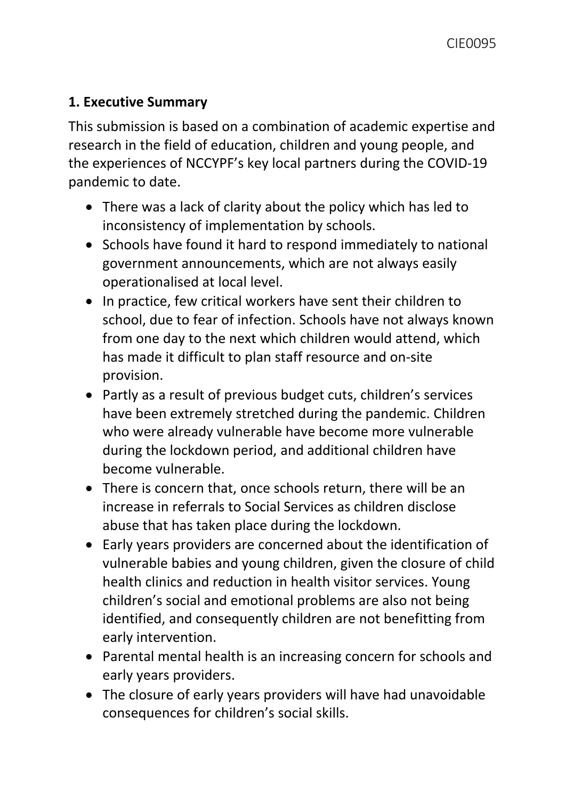## **1. Executive Summary**

This submission is based on a combination of academic expertise and research in the field of education, children and young people, and the experiences of NCCYPF's key local partners during the COVID-19 pandemic to date.

- There was a lack of clarity about the policy which has led to inconsistency of implementation by schools.
- Schools have found it hard to respond immediately to national government announcements, which are not always easily operationalised at local level.
- In practice, few critical workers have sent their children to school, due to fear of infection. Schools have not always known from one day to the next which children would attend, which has made it difficult to plan staff resource and on-site provision.
- Partly as a result of previous budget cuts, children's services have been extremely stretched during the pandemic. Children who were already vulnerable have become more vulnerable during the lockdown period, and additional children have become vulnerable.
- There is concern that, once schools return, there will be an increase in referrals to Social Services as children disclose abuse that has taken place during the lockdown.
- Early years providers are concerned about the identification of vulnerable babies and young children, given the closure of child health clinics and reduction in health visitor services. Young children's social and emotional problems are also not being identified, and consequently children are not benefitting from early intervention.
- Parental mental health is an increasing concern for schools and early years providers.
- The closure of early years providers will have had unavoidable consequences for children's social skills.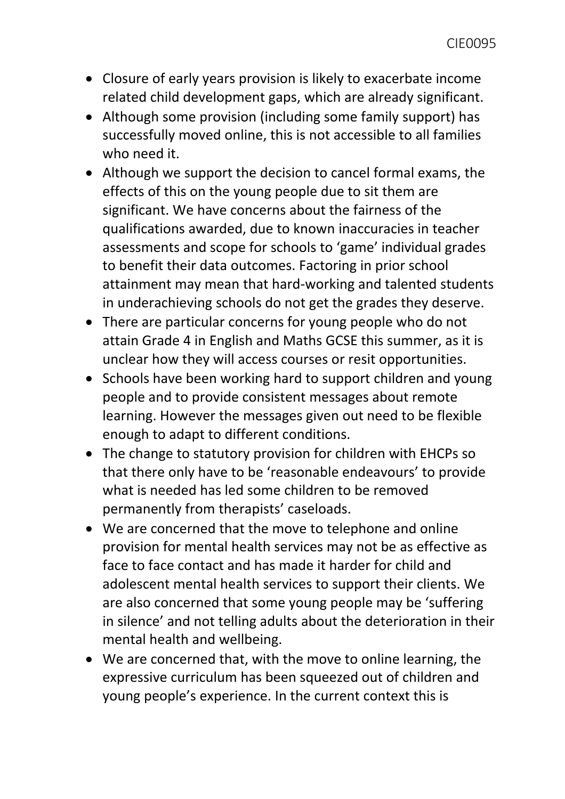- Closure of early years provision is likely to exacerbate income related child development gaps, which are already significant.
- Although some provision (including some family support) has successfully moved online, this is not accessible to all families who need it.
- Although we support the decision to cancel formal exams, the effects of this on the young people due to sit them are significant. We have concerns about the fairness of the qualifications awarded, due to known inaccuracies in teacher assessments and scope for schools to 'game' individual grades to benefit their data outcomes. Factoring in prior school attainment may mean that hard-working and talented students in underachieving schools do not get the grades they deserve.
- There are particular concerns for young people who do not attain Grade 4 in English and Maths GCSE this summer, as it is unclear how they will access courses or resit opportunities.
- Schools have been working hard to support children and young people and to provide consistent messages about remote learning. However the messages given out need to be flexible enough to adapt to different conditions.
- The change to statutory provision for children with EHCPs so that there only have to be 'reasonable endeavours' to provide what is needed has led some children to be removed permanently from therapists' caseloads.
- We are concerned that the move to telephone and online provision for mental health services may not be as effective as face to face contact and has made it harder for child and adolescent mental health services to support their clients. We are also concerned that some young people may be 'suffering in silence' and not telling adults about the deterioration in their mental health and wellbeing.
- We are concerned that, with the move to online learning, the expressive curriculum has been squeezed out of children and young people's experience. In the current context this is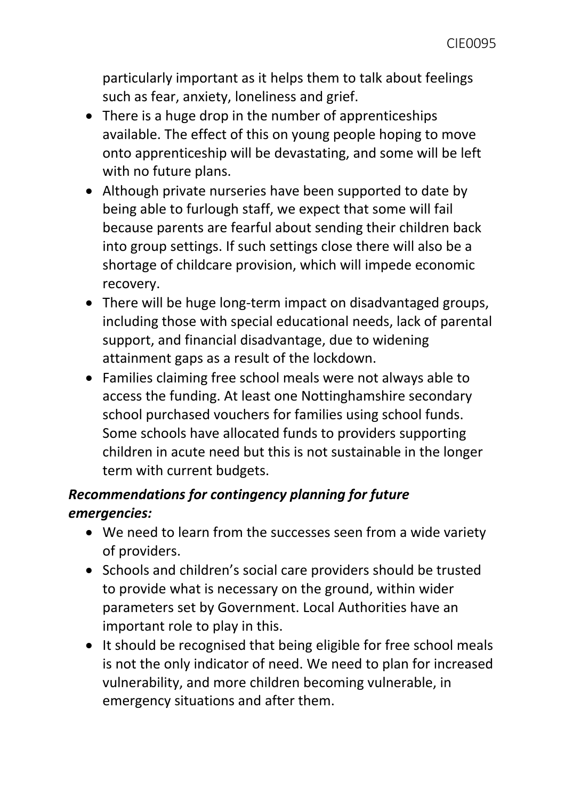particularly important as it helps them to talk about feelings such as fear, anxiety, loneliness and grief.

- There is a huge drop in the number of apprenticeships available. The effect of this on young people hoping to move onto apprenticeship will be devastating, and some will be left with no future plans.
- Although private nurseries have been supported to date by being able to furlough staff, we expect that some will fail because parents are fearful about sending their children back into group settings. If such settings close there will also be a shortage of childcare provision, which will impede economic recovery.
- There will be huge long-term impact on disadvantaged groups, including those with special educational needs, lack of parental support, and financial disadvantage, due to widening attainment gaps as a result of the lockdown.
- Families claiming free school meals were not always able to access the funding. At least one Nottinghamshire secondary school purchased vouchers for families using school funds. Some schools have allocated funds to providers supporting children in acute need but this is not sustainable in the longer term with current budgets.

# *Recommendations for contingency planning for future emergencies:*

- We need to learn from the successes seen from a wide variety of providers.
- Schools and children's social care providers should be trusted to provide what is necessary on the ground, within wider parameters set by Government. Local Authorities have an important role to play in this.
- It should be recognised that being eligible for free school meals is not the only indicator of need. We need to plan for increased vulnerability, and more children becoming vulnerable, in emergency situations and after them.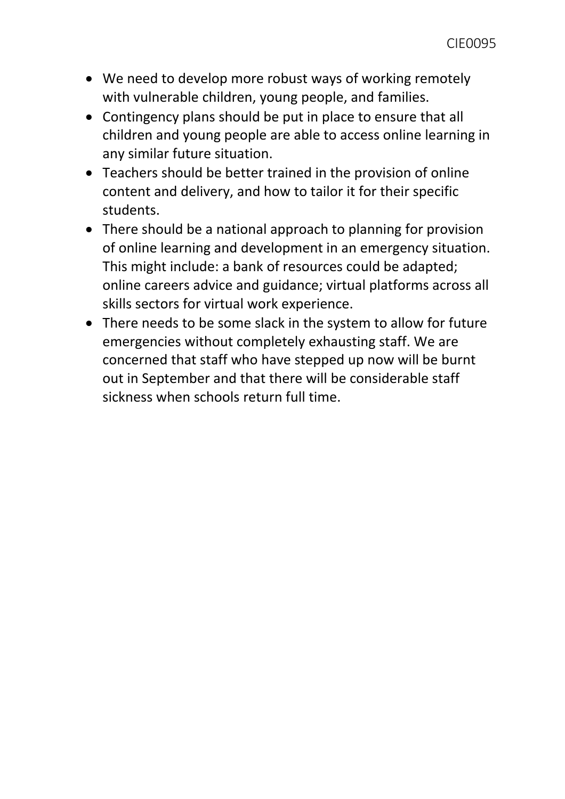- We need to develop more robust ways of working remotely with vulnerable children, young people, and families.
- Contingency plans should be put in place to ensure that all children and young people are able to access online learning in any similar future situation.
- Teachers should be better trained in the provision of online content and delivery, and how to tailor it for their specific students.
- There should be a national approach to planning for provision of online learning and development in an emergency situation. This might include: a bank of resources could be adapted; online careers advice and guidance; virtual platforms across all skills sectors for virtual work experience.
- There needs to be some slack in the system to allow for future emergencies without completely exhausting staff. We are concerned that staff who have stepped up now will be burnt out in September and that there will be considerable staff sickness when schools return full time.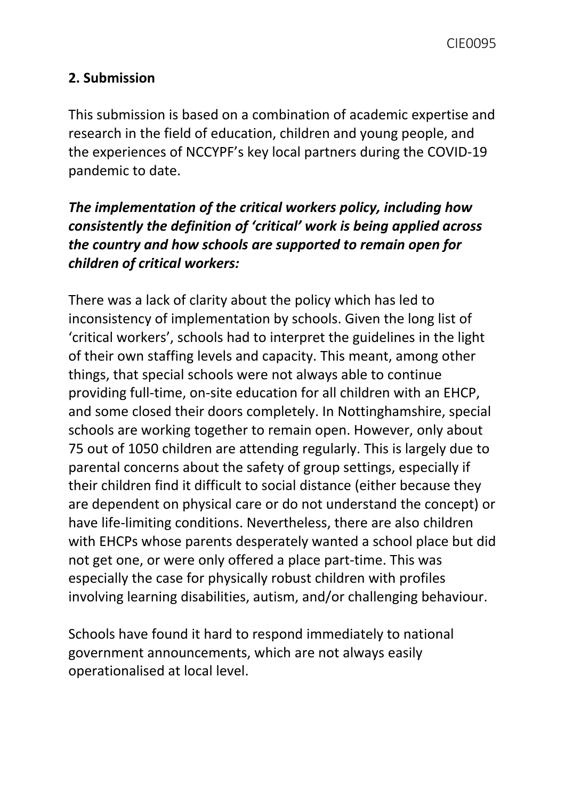## **2. Submission**

This submission is based on a combination of academic expertise and research in the field of education, children and young people, and the experiences of NCCYPF's key local partners during the COVID-19 pandemic to date.

# *The implementation of the critical workers policy, including how consistently the definition of 'critical' work is being applied across the country and how schools are supported to remain open for children of critical workers:*

There was a lack of clarity about the policy which has led to inconsistency of implementation by schools. Given the long list of 'critical workers', schools had to interpret the guidelines in the light of their own staffing levels and capacity. This meant, among other things, that special schools were not always able to continue providing full-time, on-site education for all children with an EHCP, and some closed their doors completely. In Nottinghamshire, special schools are working together to remain open. However, only about 75 out of 1050 children are attending regularly. This is largely due to parental concerns about the safety of group settings, especially if their children find it difficult to social distance (either because they are dependent on physical care or do not understand the concept) or have life-limiting conditions. Nevertheless, there are also children with EHCPs whose parents desperately wanted a school place but did not get one, or were only offered a place part-time. This was especially the case for physically robust children with profiles involving learning disabilities, autism, and/or challenging behaviour.

Schools have found it hard to respond immediately to national government announcements, which are not always easily operationalised at local level.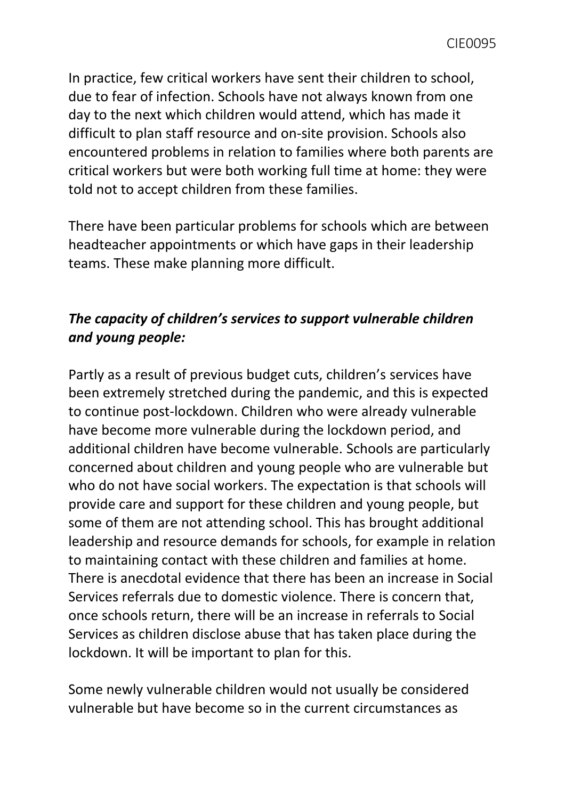In practice, few critical workers have sent their children to school, due to fear of infection. Schools have not always known from one day to the next which children would attend, which has made it difficult to plan staff resource and on-site provision. Schools also encountered problems in relation to families where both parents are critical workers but were both working full time at home: they were told not to accept children from these families.

There have been particular problems for schools which are between headteacher appointments or which have gaps in their leadership teams. These make planning more difficult.

# *The capacity of children's services to support vulnerable children and young people:*

Partly as a result of previous budget cuts, children's services have been extremely stretched during the pandemic, and this is expected to continue post-lockdown. Children who were already vulnerable have become more vulnerable during the lockdown period, and additional children have become vulnerable. Schools are particularly concerned about children and young people who are vulnerable but who do not have social workers. The expectation is that schools will provide care and support for these children and young people, but some of them are not attending school. This has brought additional leadership and resource demands for schools, for example in relation to maintaining contact with these children and families at home. There is anecdotal evidence that there has been an increase in Social Services referrals due to domestic violence. There is concern that, once schools return, there will be an increase in referrals to Social Services as children disclose abuse that has taken place during the lockdown. It will be important to plan for this.

Some newly vulnerable children would not usually be considered vulnerable but have become so in the current circumstances as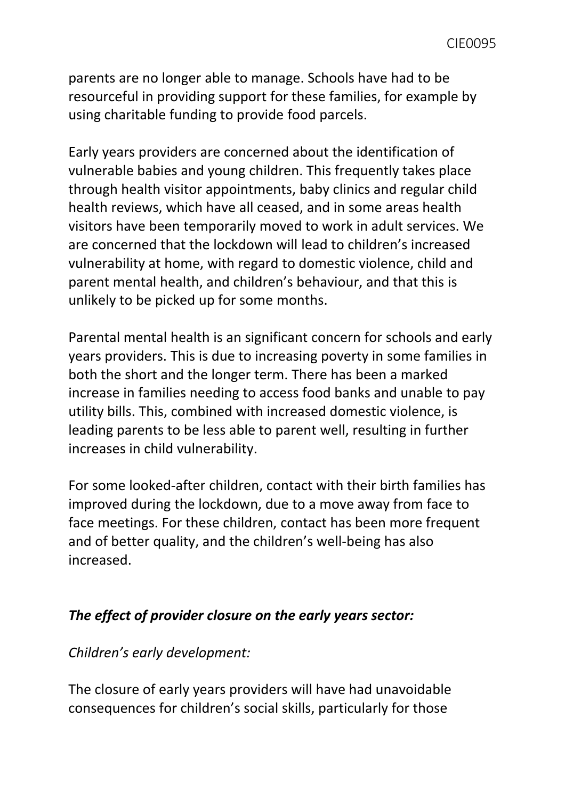parents are no longer able to manage. Schools have had to be resourceful in providing support for these families, for example by using charitable funding to provide food parcels.

Early years providers are concerned about the identification of vulnerable babies and young children. This frequently takes place through health visitor appointments, baby clinics and regular child health reviews, which have all ceased, and in some areas health visitors have been temporarily moved to work in adult services. We are concerned that the lockdown will lead to children's increased vulnerability at home, with regard to domestic violence, child and parent mental health, and children's behaviour, and that this is unlikely to be picked up for some months.

Parental mental health is an significant concern for schools and early years providers. This is due to increasing poverty in some families in both the short and the longer term. There has been a marked increase in families needing to access food banks and unable to pay utility bills. This, combined with increased domestic violence, is leading parents to be less able to parent well, resulting in further increases in child vulnerability.

For some looked-after children, contact with their birth families has improved during the lockdown, due to a move away from face to face meetings. For these children, contact has been more frequent and of better quality, and the children's well-being has also increased.

### *The effect of provider closure on the early years sector:*

#### *Children's early development:*

The closure of early years providers will have had unavoidable consequences for children's social skills, particularly for those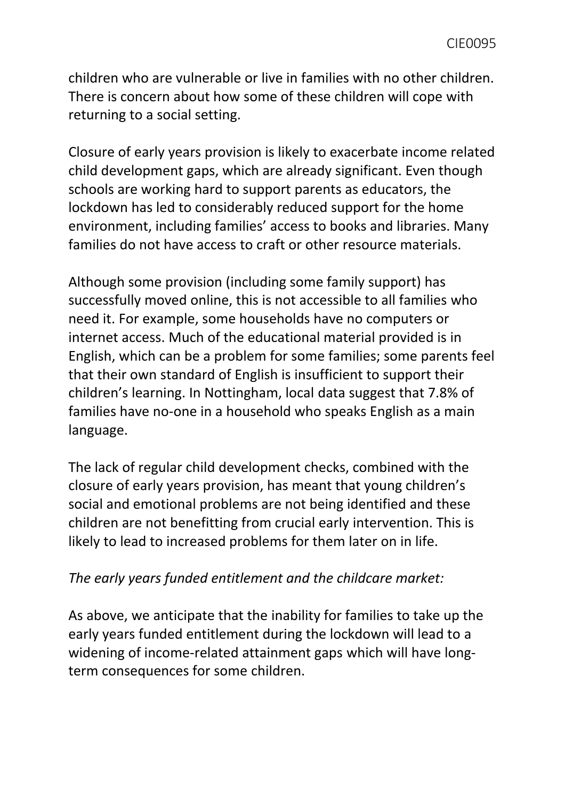children who are vulnerable or live in families with no other children. There is concern about how some of these children will cope with returning to a social setting.

Closure of early years provision is likely to exacerbate income related child development gaps, which are already significant. Even though schools are working hard to support parents as educators, the lockdown has led to considerably reduced support for the home environment, including families' access to books and libraries. Many families do not have access to craft or other resource materials.

Although some provision (including some family support) has successfully moved online, this is not accessible to all families who need it. For example, some households have no computers or internet access. Much of the educational material provided is in English, which can be a problem for some families; some parents feel that their own standard of English is insufficient to support their children's learning. In Nottingham, local data suggest that 7.8% of families have no-one in a household who speaks English as a main language.

The lack of regular child development checks, combined with the closure of early years provision, has meant that young children's social and emotional problems are not being identified and these children are not benefitting from crucial early intervention. This is likely to lead to increased problems for them later on in life.

#### *The early years funded entitlement and the childcare market:*

As above, we anticipate that the inability for families to take up the early years funded entitlement during the lockdown will lead to a widening of income-related attainment gaps which will have longterm consequences for some children.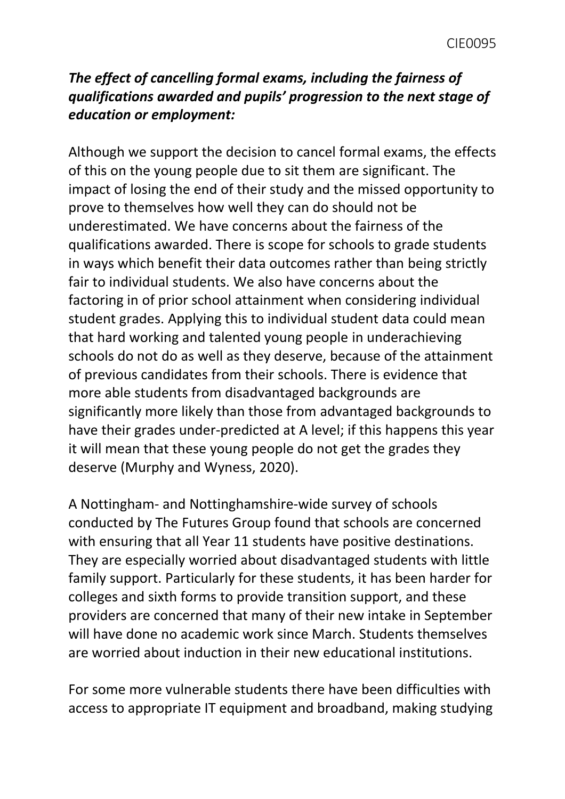## *The effect of cancelling formal exams, including the fairness of qualifications awarded and pupils' progression to the next stage of education or employment:*

Although we support the decision to cancel formal exams, the effects of this on the young people due to sit them are significant. The impact of losing the end of their study and the missed opportunity to prove to themselves how well they can do should not be underestimated. We have concerns about the fairness of the qualifications awarded. There is scope for schools to grade students in ways which benefit their data outcomes rather than being strictly fair to individual students. We also have concerns about the factoring in of prior school attainment when considering individual student grades. Applying this to individual student data could mean that hard working and talented young people in underachieving schools do not do as well as they deserve, because of the attainment of previous candidates from their schools. There is evidence that more able students from disadvantaged backgrounds are significantly more likely than those from advantaged backgrounds to have their grades under-predicted at A level; if this happens this year it will mean that these young people do not get the grades they deserve (Murphy and Wyness, 2020).

A Nottingham- and Nottinghamshire-wide survey of schools conducted by The Futures Group found that schools are concerned with ensuring that all Year 11 students have positive destinations. They are especially worried about disadvantaged students with little family support. Particularly for these students, it has been harder for colleges and sixth forms to provide transition support, and these providers are concerned that many of their new intake in September will have done no academic work since March. Students themselves are worried about induction in their new educational institutions.

For some more vulnerable students there have been difficulties with access to appropriate IT equipment and broadband, making studying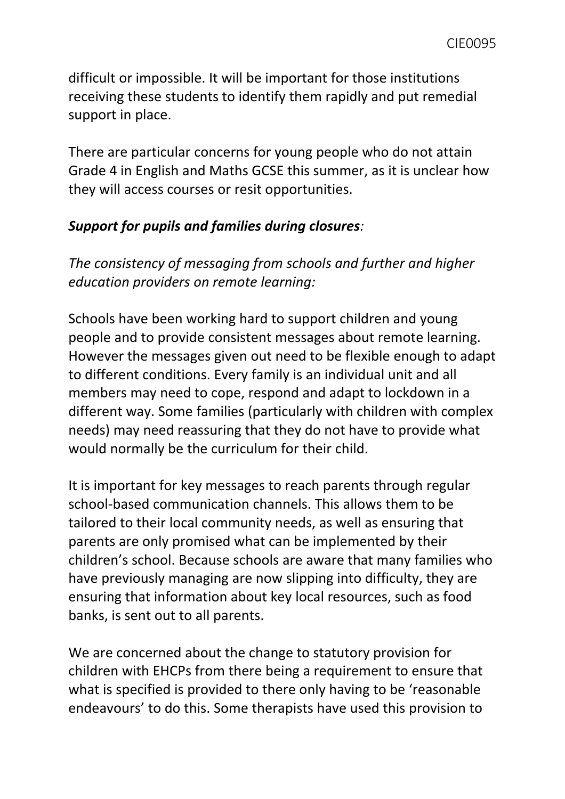difficult or impossible. It will be important for those institutions receiving these students to identify them rapidly and put remedial support in place.

There are particular concerns for young people who do not attain Grade 4 in English and Maths GCSE this summer, as it is unclear how they will access courses or resit opportunities.

### *Support for pupils and families during closures:*

*The consistency of messaging from schools and further and higher education providers on remote learning:*

Schools have been working hard to support children and young people and to provide consistent messages about remote learning. However the messages given out need to be flexible enough to adapt to different conditions. Every family is an individual unit and all members may need to cope, respond and adapt to lockdown in a different way. Some families (particularly with children with complex needs) may need reassuring that they do not have to provide what would normally be the curriculum for their child.

It is important for key messages to reach parents through regular school-based communication channels. This allows them to be tailored to their local community needs, as well as ensuring that parents are only promised what can be implemented by their children's school. Because schools are aware that many families who have previously managing are now slipping into difficulty, they are ensuring that information about key local resources, such as food banks, is sent out to all parents.

We are concerned about the change to statutory provision for children with EHCPs from there being a requirement to ensure that what is specified is provided to there only having to be 'reasonable endeavours' to do this. Some therapists have used this provision to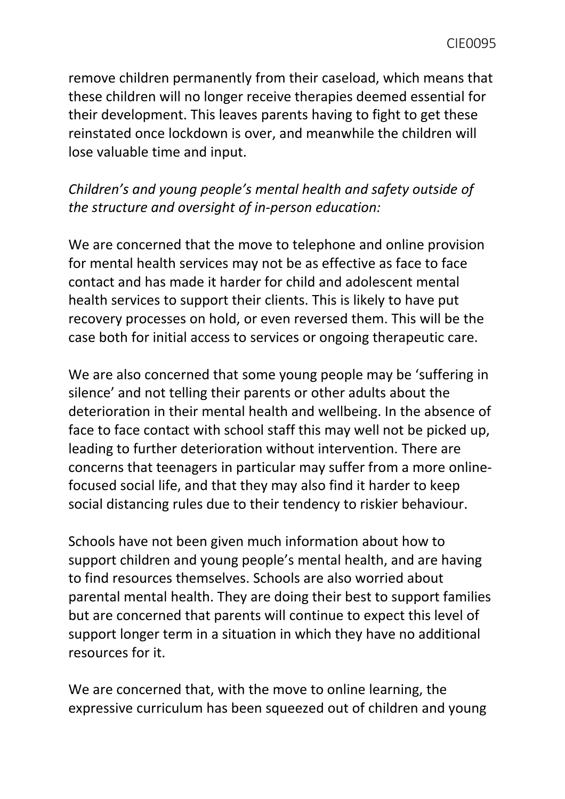remove children permanently from their caseload, which means that these children will no longer receive therapies deemed essential for their development. This leaves parents having to fight to get these reinstated once lockdown is over, and meanwhile the children will lose valuable time and input.

# *Children's and young people's mental health and safety outside of the structure and oversight of in-person education:*

We are concerned that the move to telephone and online provision for mental health services may not be as effective as face to face contact and has made it harder for child and adolescent mental health services to support their clients. This is likely to have put recovery processes on hold, or even reversed them. This will be the case both for initial access to services or ongoing therapeutic care.

We are also concerned that some young people may be 'suffering in silence' and not telling their parents or other adults about the deterioration in their mental health and wellbeing. In the absence of face to face contact with school staff this may well not be picked up, leading to further deterioration without intervention. There are concerns that teenagers in particular may suffer from a more onlinefocused social life, and that they may also find it harder to keep social distancing rules due to their tendency to riskier behaviour.

Schools have not been given much information about how to support children and young people's mental health, and are having to find resources themselves. Schools are also worried about parental mental health. They are doing their best to support families but are concerned that parents will continue to expect this level of support longer term in a situation in which they have no additional resources for it.

We are concerned that, with the move to online learning, the expressive curriculum has been squeezed out of children and young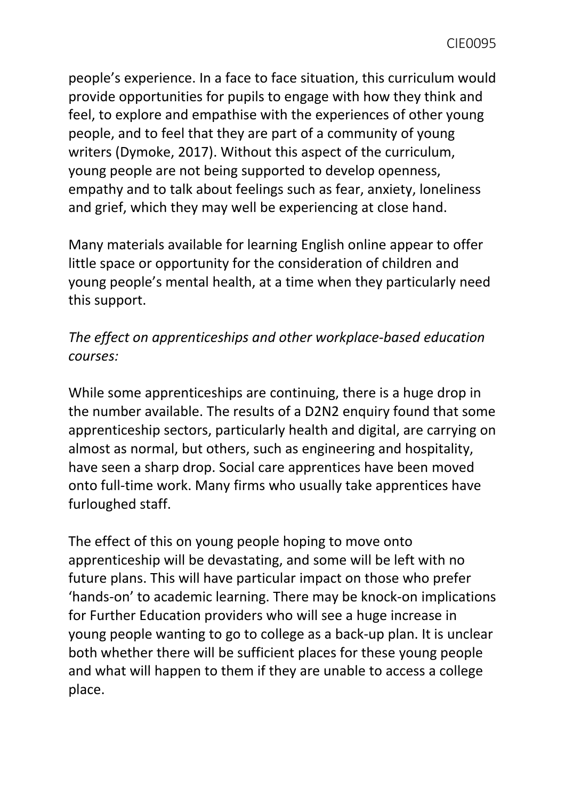people's experience. In a face to face situation, this curriculum would provide opportunities for pupils to engage with how they think and feel, to explore and empathise with the experiences of other young people, and to feel that they are part of a community of young writers (Dymoke, 2017). Without this aspect of the curriculum, young people are not being supported to develop openness, empathy and to talk about feelings such as fear, anxiety, loneliness and grief, which they may well be experiencing at close hand.

Many materials available for learning English online appear to offer little space or opportunity for the consideration of children and young people's mental health, at a time when they particularly need this support.

## *The effect on apprenticeships and other workplace-based education courses:*

While some apprenticeships are continuing, there is a huge drop in the number available. The results of a D2N2 enquiry found that some apprenticeship sectors, particularly health and digital, are carrying on almost as normal, but others, such as engineering and hospitality, have seen a sharp drop. Social care apprentices have been moved onto full-time work. Many firms who usually take apprentices have furloughed staff.

The effect of this on young people hoping to move onto apprenticeship will be devastating, and some will be left with no future plans. This will have particular impact on those who prefer 'hands-on' to academic learning. There may be knock-on implications for Further Education providers who will see a huge increase in young people wanting to go to college as a back-up plan. It is unclear both whether there will be sufficient places for these young people and what will happen to them if they are unable to access a college place.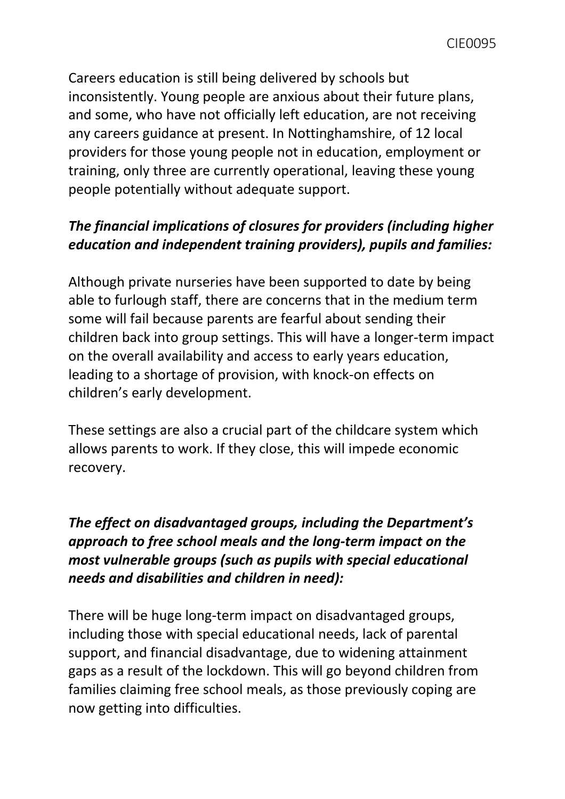Careers education is still being delivered by schools but inconsistently. Young people are anxious about their future plans, and some, who have not officially left education, are not receiving any careers guidance at present. In Nottinghamshire, of 12 local providers for those young people not in education, employment or training, only three are currently operational, leaving these young people potentially without adequate support.

# *The financial implications of closures for providers (including higher education and independent training providers), pupils and families:*

Although private nurseries have been supported to date by being able to furlough staff, there are concerns that in the medium term some will fail because parents are fearful about sending their children back into group settings. This will have a longer-term impact on the overall availability and access to early years education, leading to a shortage of provision, with knock-on effects on children's early development.

These settings are also a crucial part of the childcare system which allows parents to work. If they close, this will impede economic recovery.

# *The effect on disadvantaged groups, including the Department's approach to free school meals and the long-term impact on the most vulnerable groups (such as pupils with special educational needs and disabilities and children in need):*

There will be huge long-term impact on disadvantaged groups, including those with special educational needs, lack of parental support, and financial disadvantage, due to widening attainment gaps as a result of the lockdown. This will go beyond children from families claiming free school meals, as those previously coping are now getting into difficulties.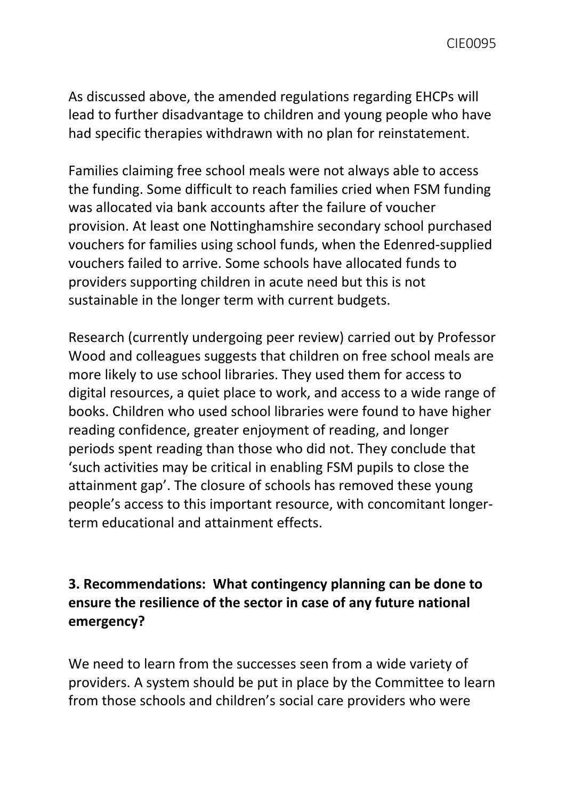As discussed above, the amended regulations regarding EHCPs will lead to further disadvantage to children and young people who have had specific therapies withdrawn with no plan for reinstatement.

Families claiming free school meals were not always able to access the funding. Some difficult to reach families cried when FSM funding was allocated via bank accounts after the failure of voucher provision. At least one Nottinghamshire secondary school purchased vouchers for families using school funds, when the Edenred-supplied vouchers failed to arrive. Some schools have allocated funds to providers supporting children in acute need but this is not sustainable in the longer term with current budgets.

Research (currently undergoing peer review) carried out by Professor Wood and colleagues suggests that children on free school meals are more likely to use school libraries. They used them for access to digital resources, a quiet place to work, and access to a wide range of books. Children who used school libraries were found to have higher reading confidence, greater enjoyment of reading, and longer periods spent reading than those who did not. They conclude that 'such activities may be critical in enabling FSM pupils to close the attainment gap'. The closure of schools has removed these young people's access to this important resource, with concomitant longerterm educational and attainment effects.

## **3. Recommendations: What contingency planning can be done to ensure the resilience of the sector in case of any future national emergency?**

We need to learn from the successes seen from a wide variety of providers. A system should be put in place by the Committee to learn from those schools and children's social care providers who were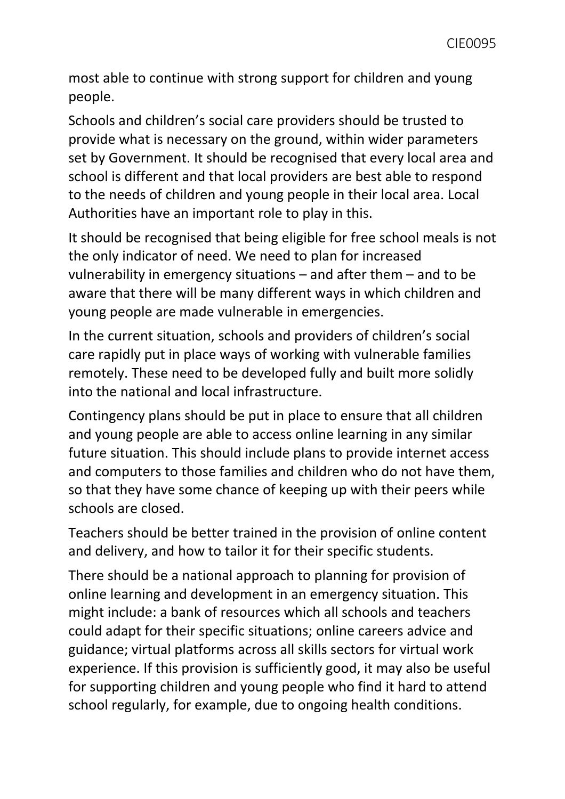most able to continue with strong support for children and young people.

Schools and children's social care providers should be trusted to provide what is necessary on the ground, within wider parameters set by Government. It should be recognised that every local area and school is different and that local providers are best able to respond to the needs of children and young people in their local area. Local Authorities have an important role to play in this.

It should be recognised that being eligible for free school meals is not the only indicator of need. We need to plan for increased vulnerability in emergency situations – and after them – and to be aware that there will be many different ways in which children and young people are made vulnerable in emergencies.

In the current situation, schools and providers of children's social care rapidly put in place ways of working with vulnerable families remotely. These need to be developed fully and built more solidly into the national and local infrastructure.

Contingency plans should be put in place to ensure that all children and young people are able to access online learning in any similar future situation. This should include plans to provide internet access and computers to those families and children who do not have them, so that they have some chance of keeping up with their peers while schools are closed.

Teachers should be better trained in the provision of online content and delivery, and how to tailor it for their specific students.

There should be a national approach to planning for provision of online learning and development in an emergency situation. This might include: a bank of resources which all schools and teachers could adapt for their specific situations; online careers advice and guidance; virtual platforms across all skills sectors for virtual work experience. If this provision is sufficiently good, it may also be useful for supporting children and young people who find it hard to attend school regularly, for example, due to ongoing health conditions.